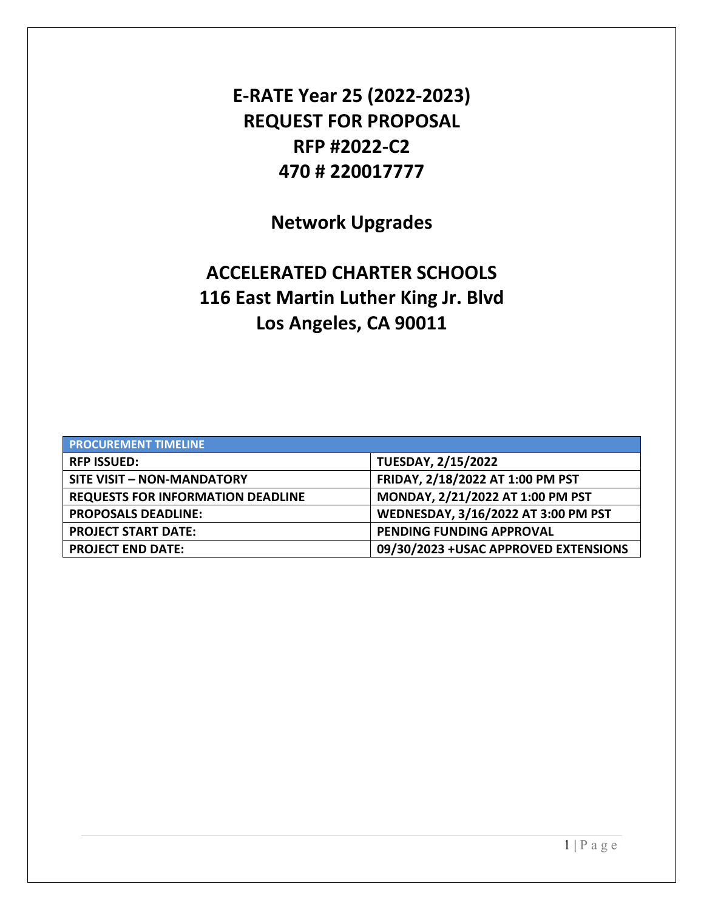**E-RATE Year 25 (2022-2023) REQUEST FOR PROPOSAL RFP #2022-C2 470 # 220017777** 

**Network Upgrades** 

# **ACCELERATED CHARTER SCHOOLS 116 East Martin Luther King Jr. Blvd Los Angeles, CA 90011**

| <b>PROCUREMENT TIMELINE</b>              |                                       |  |  |
|------------------------------------------|---------------------------------------|--|--|
| <b>RFP ISSUED:</b>                       | <b>TUESDAY, 2/15/2022</b>             |  |  |
| <b>SITE VISIT - NON-MANDATORY</b>        | FRIDAY, 2/18/2022 AT 1:00 PM PST      |  |  |
| <b>REQUESTS FOR INFORMATION DEADLINE</b> | MONDAY, 2/21/2022 AT 1:00 PM PST      |  |  |
| <b>PROPOSALS DEADLINE:</b>               | WEDNESDAY, 3/16/2022 AT 3:00 PM PST   |  |  |
| <b>PROJECT START DATE:</b>               | PENDING FUNDING APPROVAL              |  |  |
| <b>PROJECT END DATE:</b>                 | 09/30/2023 + USAC APPROVED EXTENSIONS |  |  |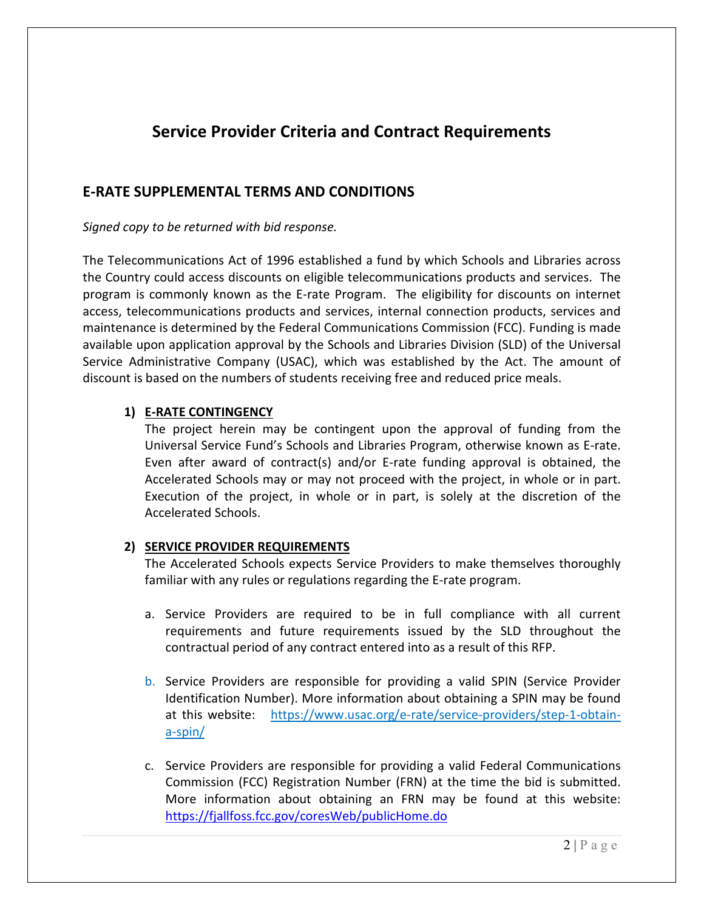## **Service Provider Criteria and Contract Requirements**

## **E-RATE SUPPLEMENTAL TERMS AND CONDITIONS**

*Signed copy to be returned with bid response.* 

The Telecommunications Act of 1996 established a fund by which Schools and Libraries across the Country could access discounts on eligible telecommunications products and services. The program is commonly known as the E-rate Program. The eligibility for discounts on internet access, telecommunications products and services, internal connection products, services and maintenance is determined by the Federal Communications Commission (FCC). Funding is made available upon application approval by the Schools and Libraries Division (SLD) of the Universal Service Administrative Company (USAC), which was established by the Act. The amount of discount is based on the numbers of students receiving free and reduced price meals.

#### **1) E-RATE CONTINGENCY**

The project herein may be contingent upon the approval of funding from the Universal Service Fund's Schools and Libraries Program, otherwise known as E-rate. Even after award of contract(s) and/or E-rate funding approval is obtained, the Accelerated Schools may or may not proceed with the project, in whole or in part. Execution of the project, in whole or in part, is solely at the discretion of the Accelerated Schools.

#### **2) SERVICE PROVIDER REQUIREMENTS**

The Accelerated Schools expects Service Providers to make themselves thoroughly familiar with any rules or regulations regarding the E-rate program.

- a. Service Providers are required to be in full compliance with all current requirements and future requirements issued by the SLD throughout the contractual period of any contract entered into as a result of this RFP.
- b. Service Providers are responsible for providing a valid SPIN (Service Provider Identification Number). More information about obtaining a SPIN may be found at this website: https://www.usac.org/e-rate/service-providers/step-1-obtaina-spin/
- c. Service Providers are responsible for providing a valid Federal Communications Commission (FCC) Registration Number (FRN) at the time the bid is submitted. More information about obtaining an FRN may be found at this website: https://fjallfoss.fcc.gov/coresWeb/publicHome.do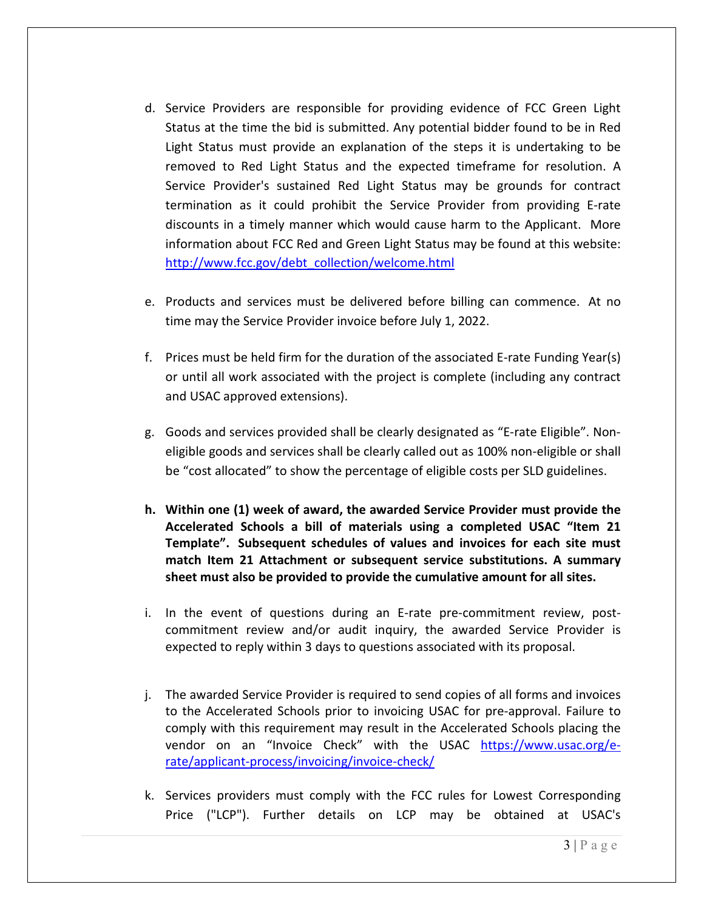- d. Service Providers are responsible for providing evidence of FCC Green Light Status at the time the bid is submitted. Any potential bidder found to be in Red Light Status must provide an explanation of the steps it is undertaking to be removed to Red Light Status and the expected timeframe for resolution. A Service Provider's sustained Red Light Status may be grounds for contract termination as it could prohibit the Service Provider from providing E-rate discounts in a timely manner which would cause harm to the Applicant. More information about FCC Red and Green Light Status may be found at this website: http://www.fcc.gov/debt\_collection/welcome.html
- e. Products and services must be delivered before billing can commence. At no time may the Service Provider invoice before July 1, 2022.
- f. Prices must be held firm for the duration of the associated E-rate Funding Year(s) or until all work associated with the project is complete (including any contract and USAC approved extensions).
- g. Goods and services provided shall be clearly designated as "E-rate Eligible". Noneligible goods and services shall be clearly called out as 100% non-eligible or shall be "cost allocated" to show the percentage of eligible costs per SLD guidelines.
- **h. Within one (1) week of award, the awarded Service Provider must provide the Accelerated Schools a bill of materials using a completed USAC "Item 21 Template". Subsequent schedules of values and invoices for each site must match Item 21 Attachment or subsequent service substitutions. A summary sheet must also be provided to provide the cumulative amount for all sites.**
- i. In the event of questions during an E-rate pre-commitment review, postcommitment review and/or audit inquiry, the awarded Service Provider is expected to reply within 3 days to questions associated with its proposal.
- j. The awarded Service Provider is required to send copies of all forms and invoices to the Accelerated Schools prior to invoicing USAC for pre-approval. Failure to comply with this requirement may result in the Accelerated Schools placing the vendor on an "Invoice Check" with the USAC https://www.usac.org/erate/applicant-process/invoicing/invoice-check/
- k. Services providers must comply with the FCC rules for Lowest Corresponding Price ("LCP"). Further details on LCP may be obtained at USAC's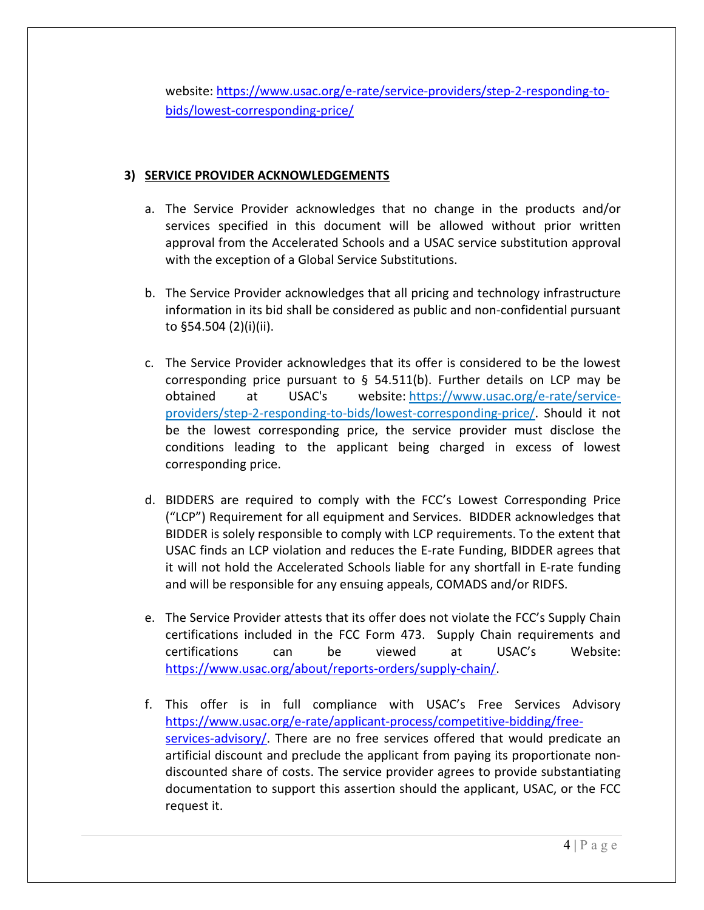website: https://www.usac.org/e-rate/service-providers/step-2-responding-tobids/lowest-corresponding-price/

## **3) SERVICE PROVIDER ACKNOWLEDGEMENTS**

- a. The Service Provider acknowledges that no change in the products and/or services specified in this document will be allowed without prior written approval from the Accelerated Schools and a USAC service substitution approval with the exception of a Global Service Substitutions.
- b. The Service Provider acknowledges that all pricing and technology infrastructure information in its bid shall be considered as public and non-confidential pursuant to §54.504 (2)(i)(ii).
- c. The Service Provider acknowledges that its offer is considered to be the lowest corresponding price pursuant to  $\S$  54.511(b). Further details on LCP may be obtained at USAC's website: https://www.usac.org/e-rate/serviceproviders/step-2-responding-to-bids/lowest-corresponding-price/. Should it not be the lowest corresponding price, the service provider must disclose the conditions leading to the applicant being charged in excess of lowest corresponding price.
- d. BIDDERS are required to comply with the FCC's Lowest Corresponding Price ("LCP") Requirement for all equipment and Services. BIDDER acknowledges that BIDDER is solely responsible to comply with LCP requirements. To the extent that USAC finds an LCP violation and reduces the E-rate Funding, BIDDER agrees that it will not hold the Accelerated Schools liable for any shortfall in E-rate funding and will be responsible for any ensuing appeals, COMADS and/or RIDFS.
- e. The Service Provider attests that its offer does not violate the FCC's Supply Chain certifications included in the FCC Form 473. Supply Chain requirements and certifications can be viewed at USAC's Website: https://www.usac.org/about/reports-orders/supply-chain/.
- f. This offer is in full compliance with USAC's Free Services Advisory https://www.usac.org/e-rate/applicant-process/competitive-bidding/freeservices-advisory/. There are no free services offered that would predicate an artificial discount and preclude the applicant from paying its proportionate nondiscounted share of costs. The service provider agrees to provide substantiating documentation to support this assertion should the applicant, USAC, or the FCC request it.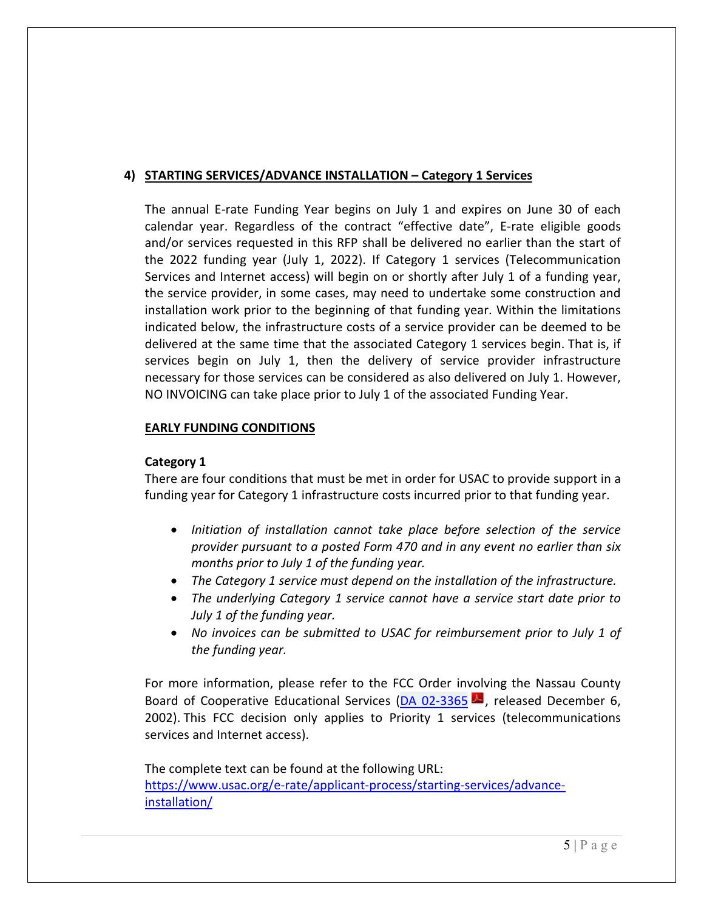## **4) STARTING SERVICES/ADVANCE INSTALLATION – Category 1 Services**

The annual E-rate Funding Year begins on July 1 and expires on June 30 of each calendar year. Regardless of the contract "effective date", E-rate eligible goods and/or services requested in this RFP shall be delivered no earlier than the start of the 2022 funding year (July 1, 2022). If Category 1 services (Telecommunication Services and Internet access) will begin on or shortly after July 1 of a funding year, the service provider, in some cases, may need to undertake some construction and installation work prior to the beginning of that funding year. Within the limitations indicated below, the infrastructure costs of a service provider can be deemed to be delivered at the same time that the associated Category 1 services begin. That is, if services begin on July 1, then the delivery of service provider infrastructure necessary for those services can be considered as also delivered on July 1. However, NO INVOICING can take place prior to July 1 of the associated Funding Year.

## **EARLY FUNDING CONDITIONS**

## **Category 1**

There are four conditions that must be met in order for USAC to provide support in a funding year for Category 1 infrastructure costs incurred prior to that funding year.

- *Initiation of installation cannot take place before selection of the service provider pursuant to a posted Form 470 and in any event no earlier than six months prior to July 1 of the funding year.*
- *The Category 1 service must depend on the installation of the infrastructure.*
- *The underlying Category 1 service cannot have a service start date prior to July 1 of the funding year.*
- *No invoices can be submitted to USAC for reimbursement prior to July 1 of the funding year.*

For more information, please refer to the FCC Order involving the Nassau County Board of Cooperative Educational Services (DA 02-3365  $\blacktriangle$ , released December 6, 2002). This FCC decision only applies to Priority 1 services (telecommunications services and Internet access).

The complete text can be found at the following URL: https://www.usac.org/e-rate/applicant-process/starting-services/advanceinstallation/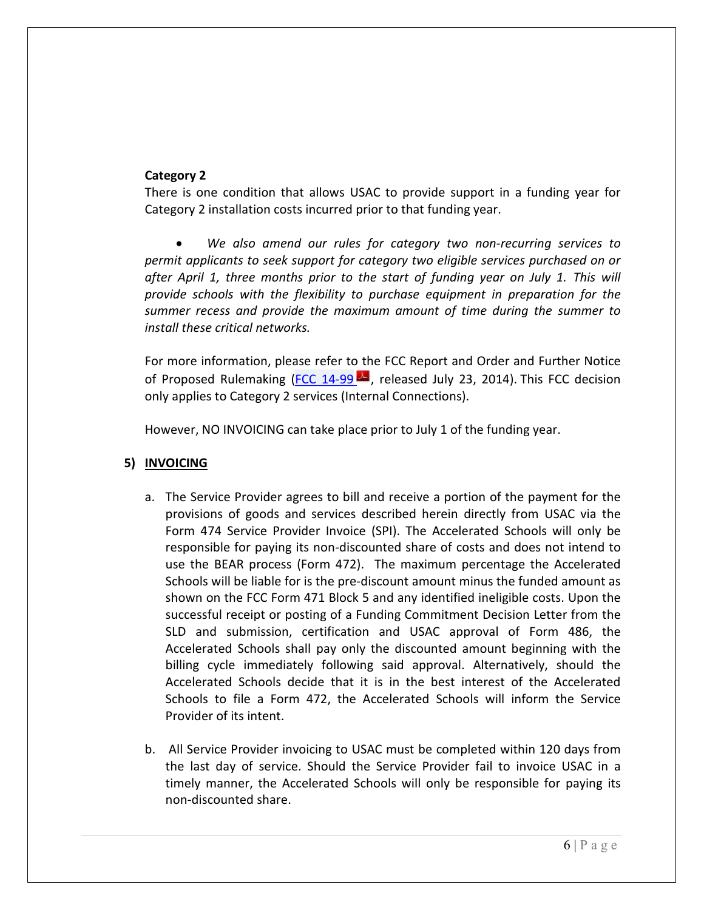#### **Category 2**

There is one condition that allows USAC to provide support in a funding year for Category 2 installation costs incurred prior to that funding year.

 *We also amend our rules for category two non-recurring services to permit applicants to seek support for category two eligible services purchased on or after April 1, three months prior to the start of funding year on July 1. This will provide schools with the flexibility to purchase equipment in preparation for the summer recess and provide the maximum amount of time during the summer to install these critical networks.* 

For more information, please refer to the FCC Report and Order and Further Notice of Proposed Rulemaking (FCC 14-99  $\blacktriangleright$  released July 23, 2014). This FCC decision only applies to Category 2 services (Internal Connections).

However, NO INVOICING can take place prior to July 1 of the funding year.

#### **5) INVOICING**

- a. The Service Provider agrees to bill and receive a portion of the payment for the provisions of goods and services described herein directly from USAC via the Form 474 Service Provider Invoice (SPI). The Accelerated Schools will only be responsible for paying its non-discounted share of costs and does not intend to use the BEAR process (Form 472). The maximum percentage the Accelerated Schools will be liable for is the pre-discount amount minus the funded amount as shown on the FCC Form 471 Block 5 and any identified ineligible costs. Upon the successful receipt or posting of a Funding Commitment Decision Letter from the SLD and submission, certification and USAC approval of Form 486, the Accelerated Schools shall pay only the discounted amount beginning with the billing cycle immediately following said approval. Alternatively, should the Accelerated Schools decide that it is in the best interest of the Accelerated Schools to file a Form 472, the Accelerated Schools will inform the Service Provider of its intent.
- b. All Service Provider invoicing to USAC must be completed within 120 days from the last day of service. Should the Service Provider fail to invoice USAC in a timely manner, the Accelerated Schools will only be responsible for paying its non-discounted share.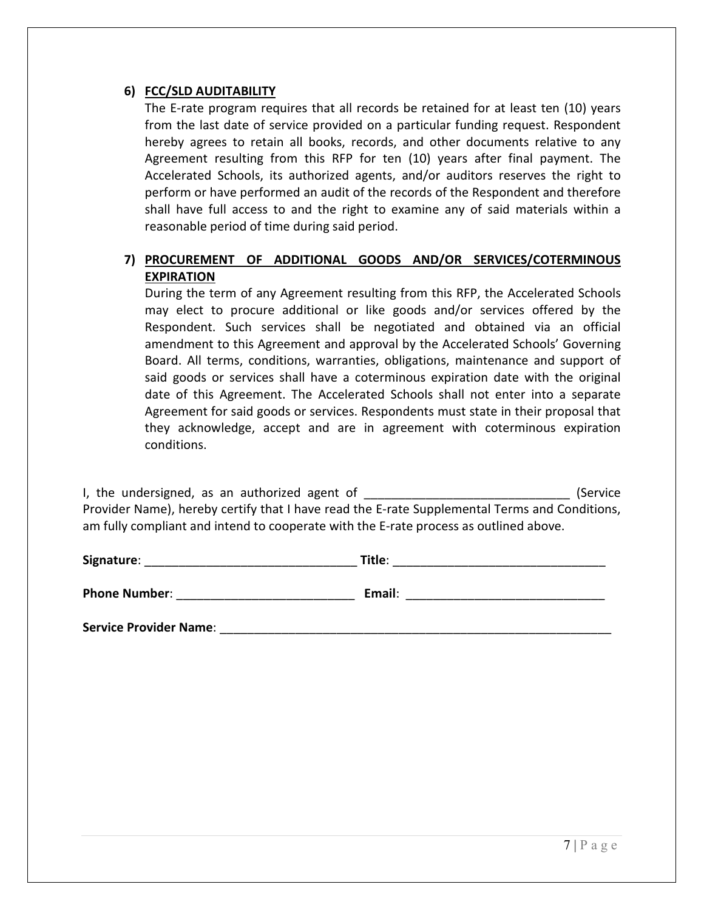#### **6) FCC/SLD AUDITABILITY**

The E-rate program requires that all records be retained for at least ten (10) years from the last date of service provided on a particular funding request. Respondent hereby agrees to retain all books, records, and other documents relative to any Agreement resulting from this RFP for ten (10) years after final payment. The Accelerated Schools, its authorized agents, and/or auditors reserves the right to perform or have performed an audit of the records of the Respondent and therefore shall have full access to and the right to examine any of said materials within a reasonable period of time during said period.

## **7) PROCUREMENT OF ADDITIONAL GOODS AND/OR SERVICES/COTERMINOUS EXPIRATION**

During the term of any Agreement resulting from this RFP, the Accelerated Schools may elect to procure additional or like goods and/or services offered by the Respondent. Such services shall be negotiated and obtained via an official amendment to this Agreement and approval by the Accelerated Schools' Governing Board. All terms, conditions, warranties, obligations, maintenance and support of said goods or services shall have a coterminous expiration date with the original date of this Agreement. The Accelerated Schools shall not enter into a separate Agreement for said goods or services. Respondents must state in their proposal that they acknowledge, accept and are in agreement with coterminous expiration conditions.

I, the undersigned, as an authorized agent of \_\_\_\_\_\_\_\_\_\_\_\_\_\_\_\_\_\_\_\_\_\_\_\_\_\_\_\_\_\_\_\_\_\_ (Service Provider Name), hereby certify that I have read the E-rate Supplemental Terms and Conditions, am fully compliant and intend to cooperate with the E-rate process as outlined above.

| Signature:           | Title: |  |
|----------------------|--------|--|
| <b>Phone Number:</b> | Email: |  |

**Service Provider Name:**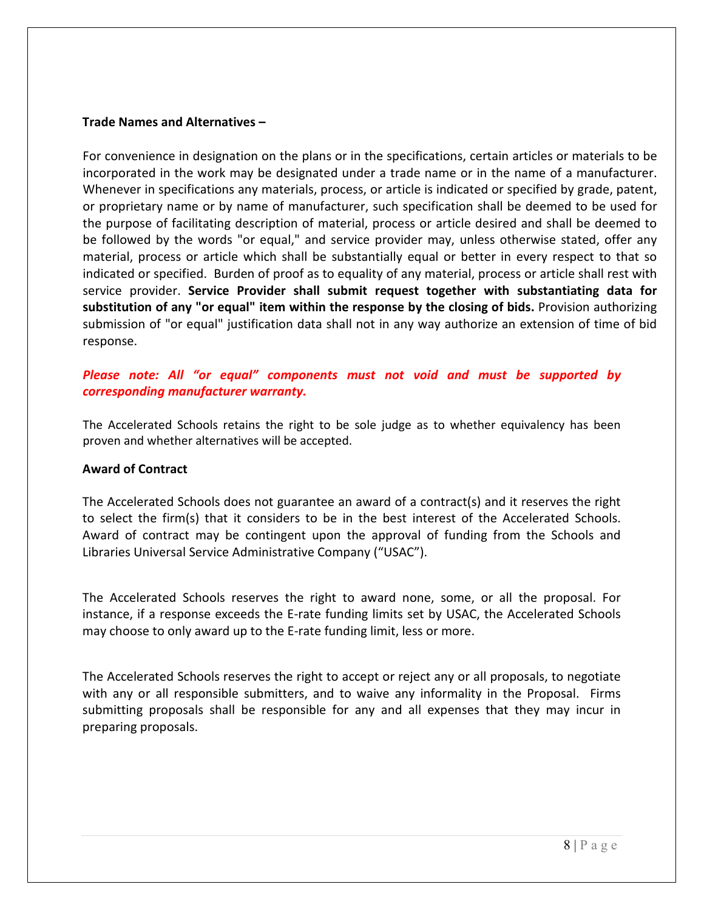#### **Trade Names and Alternatives –**

For convenience in designation on the plans or in the specifications, certain articles or materials to be incorporated in the work may be designated under a trade name or in the name of a manufacturer. Whenever in specifications any materials, process, or article is indicated or specified by grade, patent, or proprietary name or by name of manufacturer, such specification shall be deemed to be used for the purpose of facilitating description of material, process or article desired and shall be deemed to be followed by the words "or equal," and service provider may, unless otherwise stated, offer any material, process or article which shall be substantially equal or better in every respect to that so indicated or specified. Burden of proof as to equality of any material, process or article shall rest with service provider. **Service Provider shall submit request together with substantiating data for substitution of any "or equal" item within the response by the closing of bids.** Provision authorizing submission of "or equal" justification data shall not in any way authorize an extension of time of bid response.

## *Please note: All "or equal" components must not void and must be supported by corresponding manufacturer warranty.*

The Accelerated Schools retains the right to be sole judge as to whether equivalency has been proven and whether alternatives will be accepted.

#### **Award of Contract**

The Accelerated Schools does not guarantee an award of a contract(s) and it reserves the right to select the firm(s) that it considers to be in the best interest of the Accelerated Schools. Award of contract may be contingent upon the approval of funding from the Schools and Libraries Universal Service Administrative Company ("USAC").

The Accelerated Schools reserves the right to award none, some, or all the proposal. For instance, if a response exceeds the E-rate funding limits set by USAC, the Accelerated Schools may choose to only award up to the E-rate funding limit, less or more.

The Accelerated Schools reserves the right to accept or reject any or all proposals, to negotiate with any or all responsible submitters, and to waive any informality in the Proposal. Firms submitting proposals shall be responsible for any and all expenses that they may incur in preparing proposals.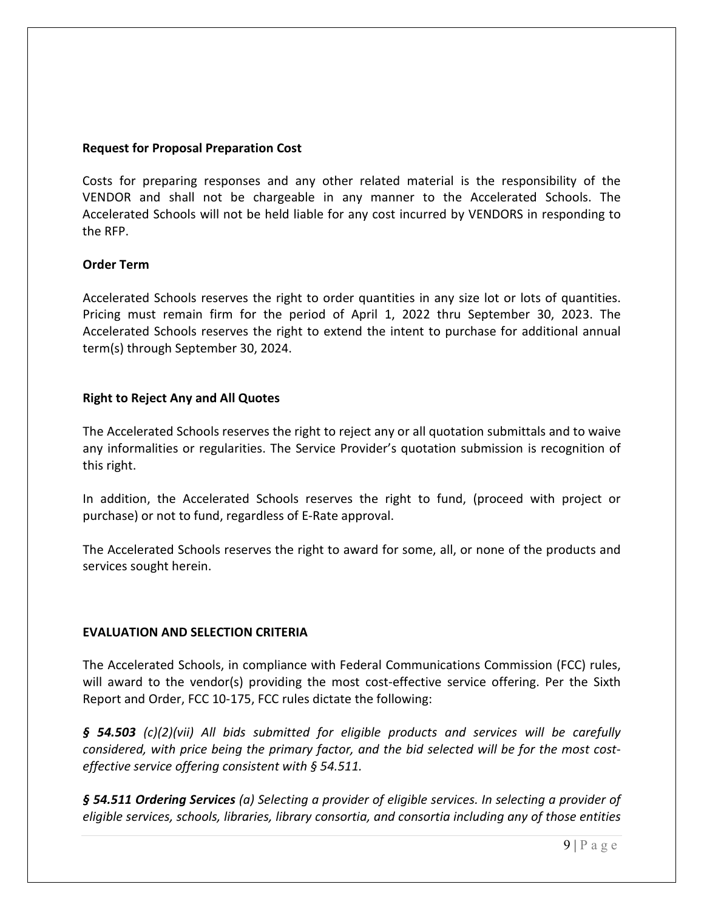#### **Request for Proposal Preparation Cost**

Costs for preparing responses and any other related material is the responsibility of the VENDOR and shall not be chargeable in any manner to the Accelerated Schools. The Accelerated Schools will not be held liable for any cost incurred by VENDORS in responding to the RFP.

#### **Order Term**

Accelerated Schools reserves the right to order quantities in any size lot or lots of quantities. Pricing must remain firm for the period of April 1, 2022 thru September 30, 2023. The Accelerated Schools reserves the right to extend the intent to purchase for additional annual term(s) through September 30, 2024.

#### **Right to Reject Any and All Quotes**

The Accelerated Schools reserves the right to reject any or all quotation submittals and to waive any informalities or regularities. The Service Provider's quotation submission is recognition of this right.

In addition, the Accelerated Schools reserves the right to fund, (proceed with project or purchase) or not to fund, regardless of E-Rate approval.

The Accelerated Schools reserves the right to award for some, all, or none of the products and services sought herein.

#### **EVALUATION AND SELECTION CRITERIA**

The Accelerated Schools, in compliance with Federal Communications Commission (FCC) rules, will award to the vendor(s) providing the most cost-effective service offering. Per the Sixth Report and Order, FCC 10-175, FCC rules dictate the following:

*§ 54.503 (c)(2)(vii) All bids submitted for eligible products and services will be carefully considered, with price being the primary factor, and the bid selected will be for the most costeffective service offering consistent with § 54.511.* 

*§ 54.511 Ordering Services (a) Selecting a provider of eligible services. In selecting a provider of eligible services, schools, libraries, library consortia, and consortia including any of those entities*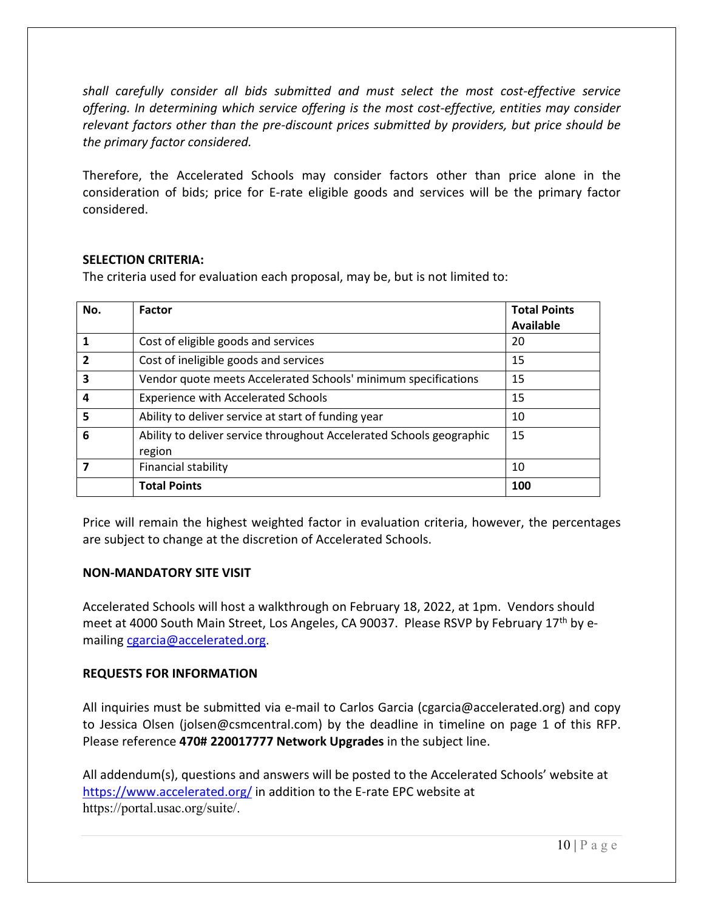*shall carefully consider all bids submitted and must select the most cost-effective service offering. In determining which service offering is the most cost-effective, entities may consider relevant factors other than the pre-discount prices submitted by providers, but price should be the primary factor considered.* 

Therefore, the Accelerated Schools may consider factors other than price alone in the consideration of bids; price for E-rate eligible goods and services will be the primary factor considered.

#### **SELECTION CRITERIA:**

The criteria used for evaluation each proposal, may be, but is not limited to:

| No.            | Factor                                                                         | <b>Total Points</b> |
|----------------|--------------------------------------------------------------------------------|---------------------|
|                |                                                                                | <b>Available</b>    |
| 1              | Cost of eligible goods and services                                            | 20                  |
| $\overline{2}$ | Cost of ineligible goods and services                                          | 15                  |
| 3              | Vendor quote meets Accelerated Schools' minimum specifications                 | 15                  |
| 4              | <b>Experience with Accelerated Schools</b>                                     | 15                  |
| 5              | Ability to deliver service at start of funding year                            | 10                  |
| 6              | Ability to deliver service throughout Accelerated Schools geographic<br>region | 15                  |
|                | Financial stability                                                            | 10                  |
|                | <b>Total Points</b>                                                            | 100                 |

Price will remain the highest weighted factor in evaluation criteria, however, the percentages are subject to change at the discretion of Accelerated Schools.

#### **NON-MANDATORY SITE VISIT**

Accelerated Schools will host a walkthrough on February 18, 2022, at 1pm. Vendors should meet at 4000 South Main Street, Los Angeles, CA 90037. Please RSVP by February 17<sup>th</sup> by emailing cgarcia@accelerated.org.

#### **REQUESTS FOR INFORMATION**

All inquiries must be submitted via e-mail to Carlos Garcia (cgarcia@accelerated.org) and copy to Jessica Olsen (jolsen@csmcentral.com) by the deadline in timeline on page 1 of this RFP. Please reference **470# 220017777 Network Upgrades** in the subject line.

All addendum(s), questions and answers will be posted to the Accelerated Schools' website at https://www.accelerated.org/ in addition to the E-rate EPC website at https://portal.usac.org/suite/.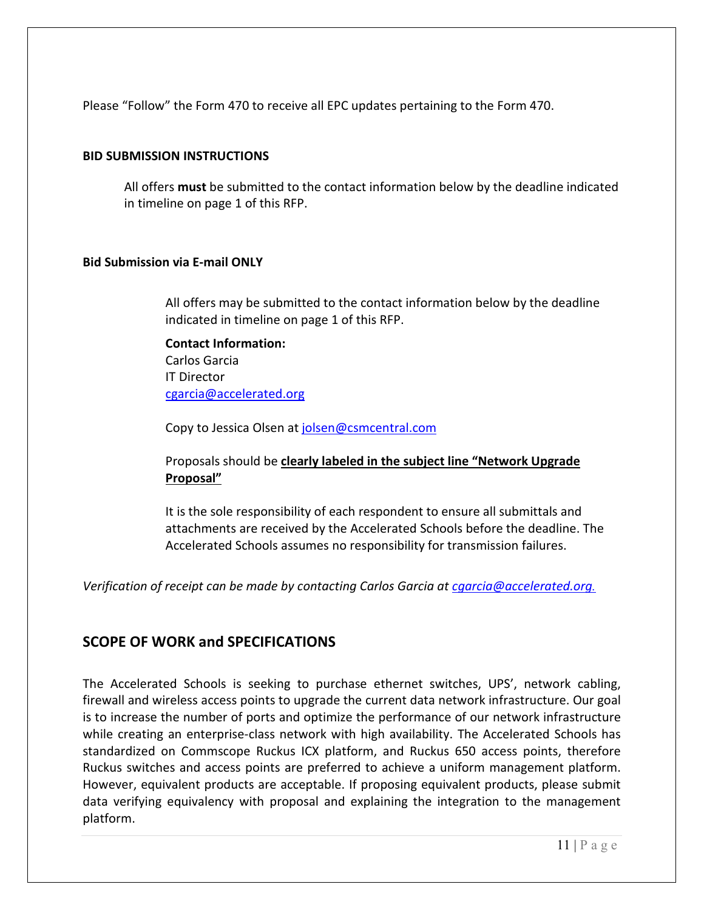Please "Follow" the Form 470 to receive all EPC updates pertaining to the Form 470.

#### **BID SUBMISSION INSTRUCTIONS**

All offers **must** be submitted to the contact information below by the deadline indicated in timeline on page 1 of this RFP.

#### **Bid Submission via E-mail ONLY**

All offers may be submitted to the contact information below by the deadline indicated in timeline on page 1 of this RFP.

**Contact Information:**  Carlos Garcia IT Director cgarcia@accelerated.org

Copy to Jessica Olsen at jolsen@csmcentral.com

Proposals should be **clearly labeled in the subject line "Network Upgrade Proposal"** 

It is the sole responsibility of each respondent to ensure all submittals and attachments are received by the Accelerated Schools before the deadline. The Accelerated Schools assumes no responsibility for transmission failures.

*Verification of receipt can be made by contacting Carlos Garcia at cgarcia@accelerated.org.* 

## **SCOPE OF WORK and SPECIFICATIONS**

The Accelerated Schools is seeking to purchase ethernet switches, UPS', network cabling, firewall and wireless access points to upgrade the current data network infrastructure. Our goal is to increase the number of ports and optimize the performance of our network infrastructure while creating an enterprise-class network with high availability. The Accelerated Schools has standardized on Commscope Ruckus ICX platform, and Ruckus 650 access points, therefore Ruckus switches and access points are preferred to achieve a uniform management platform. However, equivalent products are acceptable. If proposing equivalent products, please submit data verifying equivalency with proposal and explaining the integration to the management platform.